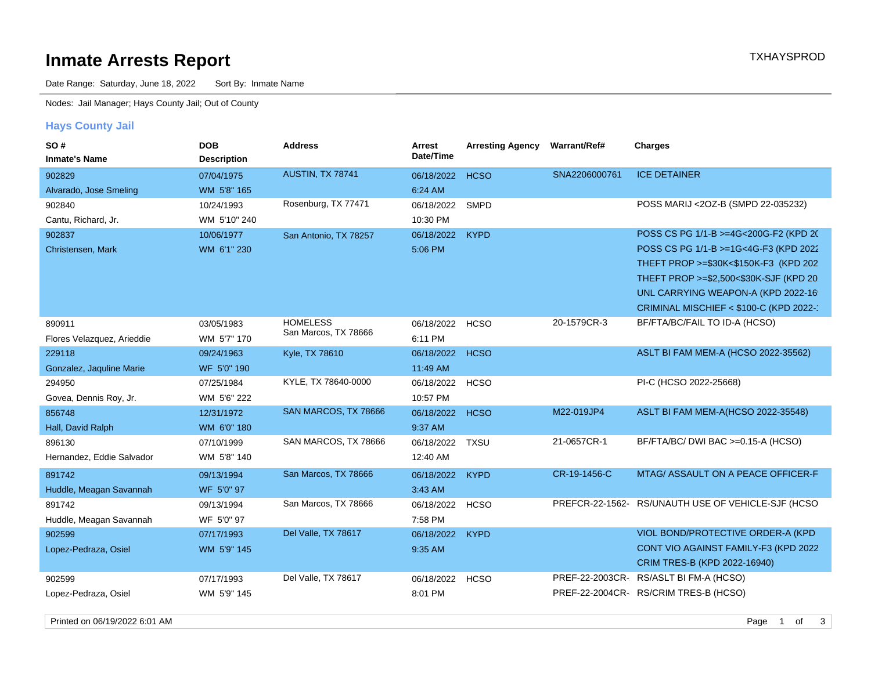# **Inmate Arrests Report TXHAYSPROD Inmate Arrests Report**

Date Range: Saturday, June 18, 2022 Sort By: Inmate Name

Nodes: Jail Manager; Hays County Jail; Out of County

## **Hays County Jail**

| <b>SO#</b><br><b>Inmate's Name</b> | <b>DOB</b><br><b>Description</b> | <b>Address</b>        | Arrest<br>Date/Time | <b>Arresting Agency</b> | <b>Warrant/Ref#</b> | <b>Charges</b>                                     |
|------------------------------------|----------------------------------|-----------------------|---------------------|-------------------------|---------------------|----------------------------------------------------|
| 902829                             | 07/04/1975                       | AUSTIN, TX 78741      | 06/18/2022          | <b>HCSO</b>             | SNA2206000761       | <b>ICE DETAINER</b>                                |
| Alvarado, Jose Smeling             | WM 5'8" 165                      |                       | 6:24 AM             |                         |                     |                                                    |
| 902840                             | 10/24/1993                       | Rosenburg, TX 77471   | 06/18/2022          | <b>SMPD</b>             |                     | POSS MARIJ <20Z-B (SMPD 22-035232)                 |
| Cantu, Richard, Jr.                | WM 5'10" 240                     |                       | 10:30 PM            |                         |                     |                                                    |
| 902837                             | 10/06/1977                       | San Antonio, TX 78257 | 06/18/2022          | <b>KYPD</b>             |                     | POSS CS PG 1/1-B >=4G<200G-F2 (KPD 20)             |
| Christensen, Mark                  | WM 6'1" 230                      |                       | 5:06 PM             |                         |                     | POSS CS PG 1/1-B >=1G<4G-F3 (KPD 2022)             |
|                                    |                                  |                       |                     |                         |                     | THEFT PROP >=\$30K<\$150K-F3 (KPD 202)             |
|                                    |                                  |                       |                     |                         |                     | THEFT PROP >=\$2,500<\$30K-SJF (KPD 20)            |
|                                    |                                  |                       |                     |                         |                     | UNL CARRYING WEAPON-A (KPD 2022-16)                |
|                                    |                                  |                       |                     |                         |                     | CRIMINAL MISCHIEF < \$100-C (KPD 2022-'            |
| 890911                             | 03/05/1983                       | <b>HOMELESS</b>       | 06/18/2022          | <b>HCSO</b>             | 20-1579CR-3         | BF/FTA/BC/FAIL TO ID-A (HCSO)                      |
| Flores Velazquez, Arieddie         | WM 5'7" 170                      | San Marcos, TX 78666  | 6:11 PM             |                         |                     |                                                    |
| 229118                             | 09/24/1963                       | Kyle, TX 78610        | 06/18/2022          | <b>HCSO</b>             |                     | ASLT BI FAM MEM-A (HCSO 2022-35562)                |
| Gonzalez, Jaquline Marie           | WF 5'0" 190                      |                       | 11:49 AM            |                         |                     |                                                    |
| 294950                             | 07/25/1984                       | KYLE, TX 78640-0000   | 06/18/2022          | <b>HCSO</b>             |                     | PI-C (HCSO 2022-25668)                             |
| Govea, Dennis Roy, Jr.             | WM 5'6" 222                      |                       | 10:57 PM            |                         |                     |                                                    |
| 856748                             | 12/31/1972                       | SAN MARCOS, TX 78666  | 06/18/2022          | <b>HCSO</b>             | M22-019JP4          | ASLT BI FAM MEM-A(HCSO 2022-35548)                 |
| Hall, David Ralph                  | WM 6'0" 180                      |                       | 9:37 AM             |                         |                     |                                                    |
| 896130                             | 07/10/1999                       | SAN MARCOS, TX 78666  | 06/18/2022          | <b>TXSU</b>             | 21-0657CR-1         | BF/FTA/BC/ DWI BAC >=0.15-A (HCSO)                 |
| Hernandez, Eddie Salvador          | WM 5'8" 140                      |                       | 12:40 AM            |                         |                     |                                                    |
| 891742                             | 09/13/1994                       | San Marcos, TX 78666  | 06/18/2022          | <b>KYPD</b>             | CR-19-1456-C        | MTAG/ ASSAULT ON A PEACE OFFICER-F                 |
| Huddle, Meagan Savannah            | WF 5'0" 97                       |                       | 3:43 AM             |                         |                     |                                                    |
| 891742                             | 09/13/1994                       | San Marcos, TX 78666  | 06/18/2022          | <b>HCSO</b>             |                     | PREFCR-22-1562- RS/UNAUTH USE OF VEHICLE-SJF (HCSO |
| Huddle, Meagan Savannah            | WF 5'0" 97                       |                       | 7:58 PM             |                         |                     |                                                    |
| 902599                             | 07/17/1993                       | Del Valle, TX 78617   | 06/18/2022          | <b>KYPD</b>             |                     | VIOL BOND/PROTECTIVE ORDER-A (KPD                  |
| Lopez-Pedraza, Osiel               | WM 5'9" 145                      |                       | 9:35 AM             |                         |                     | CONT VIO AGAINST FAMILY-F3 (KPD 2022               |
|                                    |                                  |                       |                     |                         |                     | CRIM TRES-B (KPD 2022-16940)                       |
| 902599                             | 07/17/1993                       | Del Valle, TX 78617   | 06/18/2022          | <b>HCSO</b>             |                     | PREF-22-2003CR- RS/ASLT BI FM-A (HCSO)             |
| Lopez-Pedraza, Osiel               | WM 5'9" 145                      |                       | 8:01 PM             |                         |                     | PREF-22-2004CR- RS/CRIM TRES-B (HCSO)              |

Printed on 06/19/2022 6:01 AM 3 and 06/19/2022 6:01 AM 3 and 06/19/2022 6:01 AM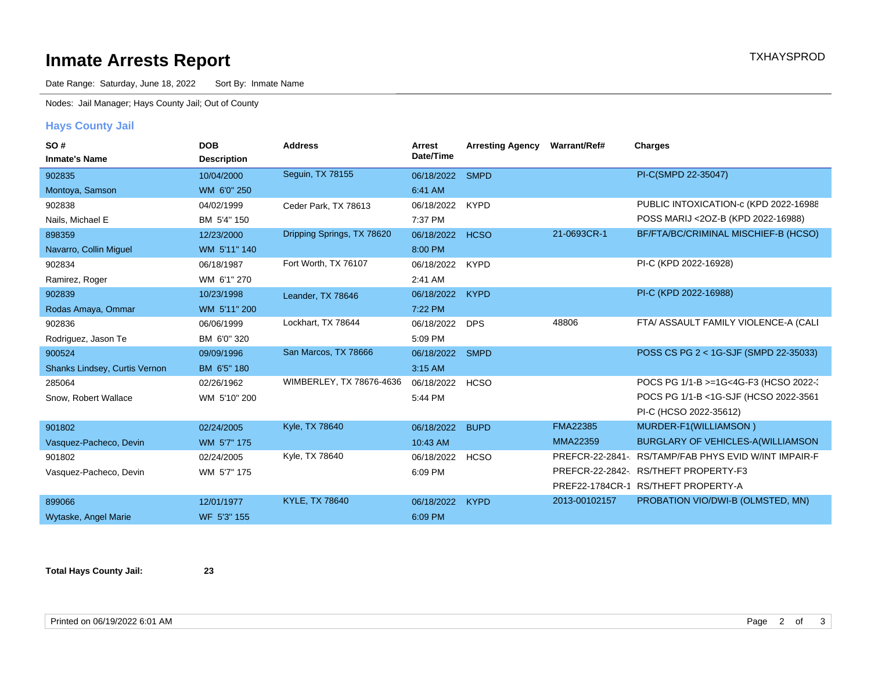# **Inmate Arrests Report TXHAYSPROD Inmate Arrests Report**

Date Range: Saturday, June 18, 2022 Sort By: Inmate Name

Nodes: Jail Manager; Hays County Jail; Out of County

## **Hays County Jail**

| SO#                           | <b>DOB</b>         | <b>Address</b>             | Arrest     | <b>Arresting Agency</b> | Warrant/Ref#    | Charges                               |
|-------------------------------|--------------------|----------------------------|------------|-------------------------|-----------------|---------------------------------------|
| <b>Inmate's Name</b>          | <b>Description</b> |                            | Date/Time  |                         |                 |                                       |
| 902835                        | 10/04/2000         | Seguin, TX 78155           | 06/18/2022 | <b>SMPD</b>             |                 | PI-C(SMPD 22-35047)                   |
| Montoya, Samson               | WM 6'0" 250        |                            | 6:41 AM    |                         |                 |                                       |
| 902838                        | 04/02/1999         | Ceder Park, TX 78613       | 06/18/2022 | <b>KYPD</b>             |                 | PUBLIC INTOXICATION-c (KPD 2022-16988 |
| Nails, Michael E              | BM 5'4" 150        |                            | 7:37 PM    |                         |                 | POSS MARIJ <20Z-B (KPD 2022-16988)    |
| 898359                        | 12/23/2000         | Dripping Springs, TX 78620 | 06/18/2022 | <b>HCSO</b>             | 21-0693CR-1     | BF/FTA/BC/CRIMINAL MISCHIEF-B (HCSO)  |
| Navarro, Collin Miguel        | WM 5'11" 140       |                            | 8:00 PM    |                         |                 |                                       |
| 902834                        | 06/18/1987         | Fort Worth, TX 76107       | 06/18/2022 | <b>KYPD</b>             |                 | PI-C (KPD 2022-16928)                 |
| Ramirez, Roger                | WM 6'1" 270        |                            | 2:41 AM    |                         |                 |                                       |
| 902839                        | 10/23/1998         | Leander, TX 78646          | 06/18/2022 | <b>KYPD</b>             |                 | PI-C (KPD 2022-16988)                 |
| Rodas Amaya, Ommar            | WM 5'11" 200       |                            | 7:22 PM    |                         |                 |                                       |
| 902836                        | 06/06/1999         | Lockhart, TX 78644         | 06/18/2022 | <b>DPS</b>              | 48806           | FTA/ ASSAULT FAMILY VIOLENCE-A (CALI  |
| Rodriguez, Jason Te           | BM 6'0" 320        |                            | 5:09 PM    |                         |                 |                                       |
| 900524                        | 09/09/1996         | San Marcos, TX 78666       | 06/18/2022 | <b>SMPD</b>             |                 | POSS CS PG 2 < 1G-SJF (SMPD 22-35033) |
| Shanks Lindsey, Curtis Vernon | BM 6'5" 180        |                            | 3:15 AM    |                         |                 |                                       |
| 285064                        | 02/26/1962         | WIMBERLEY, TX 78676-4636   | 06/18/2022 | <b>HCSO</b>             |                 | POCS PG 1/1-B >=1G<4G-F3 (HCSO 2022-2 |
| Snow, Robert Wallace          | WM 5'10" 200       |                            | 5:44 PM    |                         |                 | POCS PG 1/1-B <1G-SJF (HCSO 2022-3561 |
|                               |                    |                            |            |                         |                 | PI-C (HCSO 2022-35612)                |
| 901802                        | 02/24/2005         | Kyle, TX 78640             | 06/18/2022 | <b>BUPD</b>             | <b>FMA22385</b> | MURDER-F1(WILLIAMSON)                 |
| Vasquez-Pacheco, Devin        | WM 5'7" 175        |                            | 10:43 AM   |                         | <b>MMA22359</b> | BURGLARY OF VEHICLES-A(WILLIAMSON     |
| 901802                        | 02/24/2005         | Kyle, TX 78640             | 06/18/2022 | <b>HCSO</b>             | PREFCR-22-2841- | RS/TAMP/FAB PHYS EVID W/INT IMPAIR-F  |
| Vasquez-Pacheco, Devin        | WM 5'7" 175        |                            | 6:09 PM    |                         |                 | PREFCR-22-2842- RS/THEFT PROPERTY-F3  |
|                               |                    |                            |            |                         |                 | PREF22-1784CR-1 RS/THEFT PROPERTY-A   |
| 899066                        | 12/01/1977         | <b>KYLE, TX 78640</b>      | 06/18/2022 | <b>KYPD</b>             | 2013-00102157   | PROBATION VIO/DWI-B (OLMSTED, MN)     |
| Wytaske, Angel Marie          | WF 5'3" 155        |                            | 6:09 PM    |                         |                 |                                       |

**Total Hays County Jail: 23**